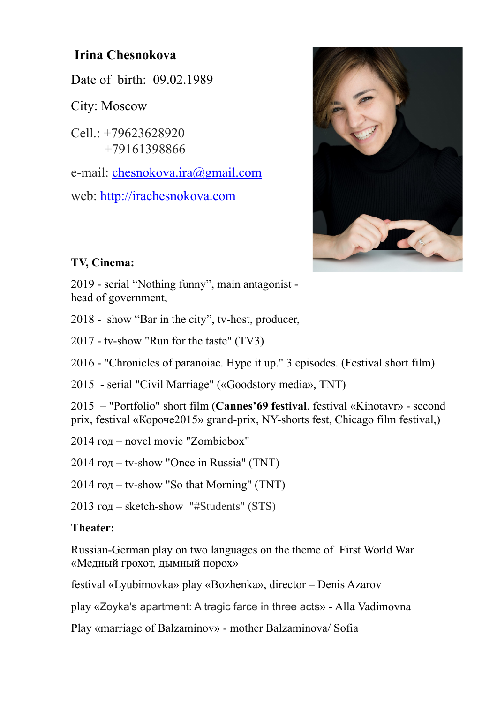## **Irina Chesnokova**

Date of birth: 09.02.1989

City: Moscow

Cell.: +79623628920 +79161398866

e-mail: [chesnokova.ira@gmail.com](mailto:chesnokova.ira@gmail.com)

web:<http://irachesnokova.com>



## **TV, Cinema:**

2019 - serial "Nothing funny", main antagonist head of government,

2018 - show "Bar in the city", tv-host, producer,

2017 - tv-show "Run for the taste" (TV3)

2016 - "Chronicles of paranoiac. Hype it up." 3 episodes. (Festival short film)

2015 - serial "Civil Marriage" («Goodstory media», ТNТ)

2015 – "Portfolio" short film (**Cannes'69 festival**, festival «Kinotavr» - second prix, festival «Короче2015» grand-prix, NY-shorts fest, Chicago film festival,)

2014 год – novel movie "Zombiebox"

2014 год – tv-show "Once in Russia" (ТNТ)

2014 год – tv-show "So that Morning" (ТNТ)

2013 год – sketch-show "#Students" (STS)

## **Theater:**

Russian-German play on two languages on the theme of First World War «Медный грохот, дымный порох»

festival «Lyubimovka» play «Bozhenka», director – Denis Azarov

play «Zoyka's apartment: A tragic farce in three acts» - Alla Vadimovna

Play «marriage of Balzaminov» - mother Balzaminova/ Sofia